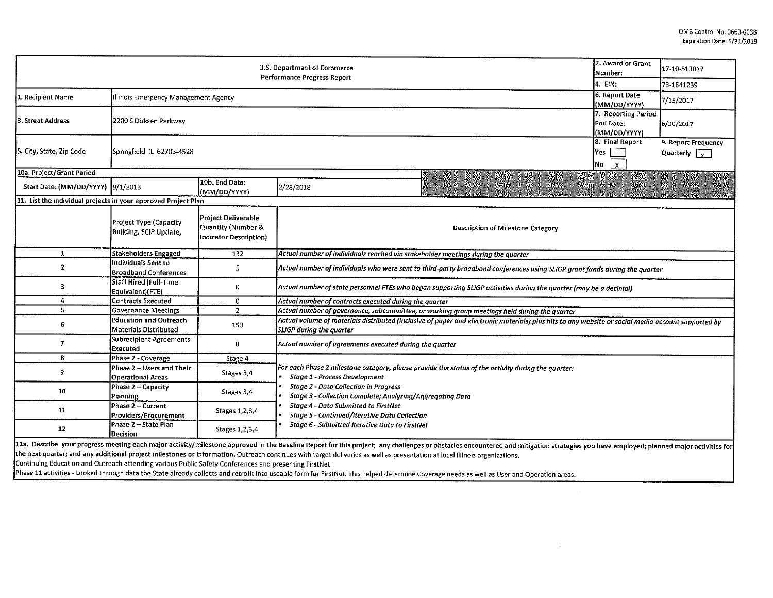| 2. Award or Grant<br>U.S. Department of Commerce<br><b>Performance Progress Report</b> |                                                         |                                              |                                                                                                                                                                                                                                |                                                         | 17-10-513017                                |  |  |  |  |
|----------------------------------------------------------------------------------------|---------------------------------------------------------|----------------------------------------------|--------------------------------------------------------------------------------------------------------------------------------------------------------------------------------------------------------------------------------|---------------------------------------------------------|---------------------------------------------|--|--|--|--|
|                                                                                        |                                                         |                                              |                                                                                                                                                                                                                                | 4. EIN:                                                 | 73-1641239                                  |  |  |  |  |
| 1. Recipient Name                                                                      | Illinois Emergency Management Agency                    |                                              |                                                                                                                                                                                                                                | 6. Report Date<br>(MM/DD/YYYY)                          | 7/15/2017                                   |  |  |  |  |
| 3. Street Address                                                                      | 2200 S Dirksen Parkway                                  |                                              |                                                                                                                                                                                                                                | 7. Reporting Period<br><b>End Date:</b><br>(MM/DD/YYYY) | 6/30/2017                                   |  |  |  |  |
| 5. City, State, Zip Code                                                               | Springfield IL 62703-4528                               |                                              |                                                                                                                                                                                                                                | 8. Final Report<br><b>Yes</b><br>$\mathbf{x}$<br>No     | 9. Report Frequency<br>Quarterly $\sqrt{y}$ |  |  |  |  |
| 10a. Project/Grant Period                                                              |                                                         |                                              |                                                                                                                                                                                                                                |                                                         |                                             |  |  |  |  |
| Start Date: (MM/DD/YYYY) 9/1/2013                                                      |                                                         | 10b. End Date:<br>(MM/DD/YYYY)               | 2/28/2018                                                                                                                                                                                                                      |                                                         |                                             |  |  |  |  |
| 11. List the individual projects in your approved Project Plan<br>Project Deliverable  |                                                         |                                              |                                                                                                                                                                                                                                |                                                         |                                             |  |  |  |  |
|                                                                                        | Project Type (Capacity<br><b>Building, SCIP Update,</b> | Quantity (Number &<br>Indicator Description) | <b>Description of Milestone Category</b>                                                                                                                                                                                       |                                                         |                                             |  |  |  |  |
| $\mathbf{1}$                                                                           | <b>Stakeholders Engaged</b>                             | 132                                          | Actual number of individuals reached via stakeholder meetings during the quarter                                                                                                                                               |                                                         |                                             |  |  |  |  |
| $\mathbf{z}$                                                                           | Individuals Sent to<br><b>Broadband Conferences</b>     | 5                                            | Actual number of individuals who were sent to third-party broadband conferences using SLIGP grant funds during the quarter                                                                                                     |                                                         |                                             |  |  |  |  |
| 3                                                                                      | <b>Staff Hired (Full-Time</b><br>Equivalent)(FTE)       | 0                                            | Actual number of state personnel FTEs who began supporting SLIGP activities during the quarter (may be a decimal)                                                                                                              |                                                         |                                             |  |  |  |  |
| $\overline{4}$                                                                         | Contracts Executed                                      | $\circ$                                      | Actual number of contracts executed during the quarter                                                                                                                                                                         |                                                         |                                             |  |  |  |  |
| 5                                                                                      | Governance Meetings                                     | $\overline{z}$                               | Actual number of governance, subcommittee, or working group meetings held during the quarter                                                                                                                                   |                                                         |                                             |  |  |  |  |
| 6                                                                                      | <b>Education and Outreach</b><br>Materials Distributed  | 150                                          | Actual volume of materials distributed (inclusive of paper and electronic materials) plus hits to any website or social media account supported by<br><b>SLIGP</b> during the quarter                                          |                                                         |                                             |  |  |  |  |
| 7                                                                                      | Subrecipient Agreements<br>Executed                     | 0                                            | Actual number of agreements executed during the quarter                                                                                                                                                                        |                                                         |                                             |  |  |  |  |
| 8                                                                                      | Phase 2 - Coverage                                      | Stage 4                                      |                                                                                                                                                                                                                                |                                                         |                                             |  |  |  |  |
| 9                                                                                      | Phase 2 – Users and Their<br><b>Operational Areas</b>   | Stages 3,4                                   | For each Phase 2 milestone category, please provide the status of the activity during the quarter:<br><b>Stage 1 - Process Development</b>                                                                                     |                                                         |                                             |  |  |  |  |
| 10                                                                                     | Phase 2 - Capacity<br>Planning                          | Stages 3.4                                   | <b>Stage 2 - Data Collection in Progress</b><br><b>Stage 3 - Collection Complete; Analyzing/Aggregating Data</b>                                                                                                               |                                                         |                                             |  |  |  |  |
| 11                                                                                     | Phase 2 - Current<br>Providers/Procurement              | Stages 1, 2, 3, 4                            | <b>Stage 4 - Data Submitted to FirstNet</b><br><b>Stage 5 - Continued/Iterative Data Collection</b>                                                                                                                            |                                                         |                                             |  |  |  |  |
| 12                                                                                     | Phase 2 - State Plan<br>Decision                        | Stages 1, 2, 3, 4                            | Stage 6 - Submitted Iterative Data to FirstNet                                                                                                                                                                                 |                                                         |                                             |  |  |  |  |
|                                                                                        |                                                         |                                              | 11a. Describe your progress meeting each major activity/milestone approved in the Baseline Report for this project; any challenges or obstacles encountered and mitigation strategies you have employed; planned major activit |                                                         |                                             |  |  |  |  |

the next quarter; and any additional project milestones or information. Outreach continues with target deliveries as well as presentation at local Illinois organizations.

Continuing Education and Outreach attending various Public Safety Conferences and presenting FirstNet.

Phase 11 activities - Looked through data the State already collects and retrofit into useable form for FirstNet. This helped determine Coverage needs as well as User and Operation areas.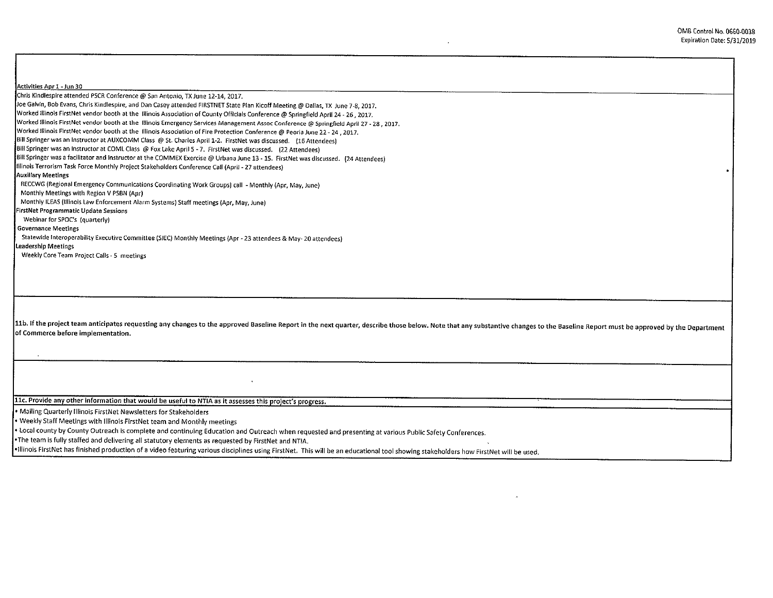.

Activities Apr 1 - Jun 30 Chrls Klndlespire attended PSCR Conference@ San Antonio, TX June 12-14, 2017. Joe Galvin, Bob Evans, Chris Kindlespire, and Dan Casey attended FIRSTNET State Plan Kicoff Meeting@ Dallas, TX June 7-8, 2017. Worked lllinols FirstNet vendor booth at the Illinois Association of County Officials Conference@ Springfield April 24 - 26, 2017. Worked Illinois FirstNet vendor booth at the Illinois Emergency Services Management Assoc Conference@ Springfield April 27 - 28, 2017. Worked Illinois FirstNet vendor booth at the Illinois Association of Fire Protection Conference@ Peoria June 22- 24, 2017. Bill Springer was an Instructor at AUXCOMM Class @St.Charles April 1-2. FirstNet was discussed. (16 Attendees) Bill Springer was an Instructor at COML Class @ Fox Lake April 5 - 7. FirstNet was discussed. (22 Attendees) Bill Springer was a facilitator and Instructor at the COMMEX Exercise @ Urbana June 13 - 15. FirstNet was discussed. (24 Attendees) !Uinois Terrorism Task Force Monthly Project Stakeholders Conference Call (April - 27 attendees) Auxillary Meetings RECCWG (Regional Emergency Communications Coordinating Work Groups) call - Monthly (Apr, May, June) Monthly Meetings with Region V PSBN (Apr) Monthly ILEA\$ (Illinois Law Enforcement Alarm Systems) Staff meetings (Apr, May, June) FirstNet Programmatic Update Sessions Webinar for SPOC's (quarterly) Governance Meetings Statewide Interoperability Executive Committee (SJEC) Monthly Meetings {Apr - 23 attendees & May- 20 attendees) leadership Meetings Weekly Core Team Project Calls - 5 meetings 11b. If the project team anticipates requesting any changes to the approved Baseline Report in the next quarter, describe those below. Note that any substantive changes to the Baseline Report must be approved by the Depart of Commerce before implementation. 11c. Provide any other information that would be useful to NTIA as it assesses this project's progress.

• Mailing Quarterly Illinois FirstNet Newsletters for Stakeholders

• Weekly Staff Meetings with Illinois FirstNet team and Monthly meetings

• Local county by County Outreach is complete and continuing Education and Outreach when requested and presenting at various Public Safety Conferences.

•The team is fully staffed and delivering all statutory elements as requested by FirstNet and NT!A.

•Illinois FirstNet has finished production of a video featuring various disciplines using FirstNet. This will be an educational tool showing stakeholders how FirstNet will be used.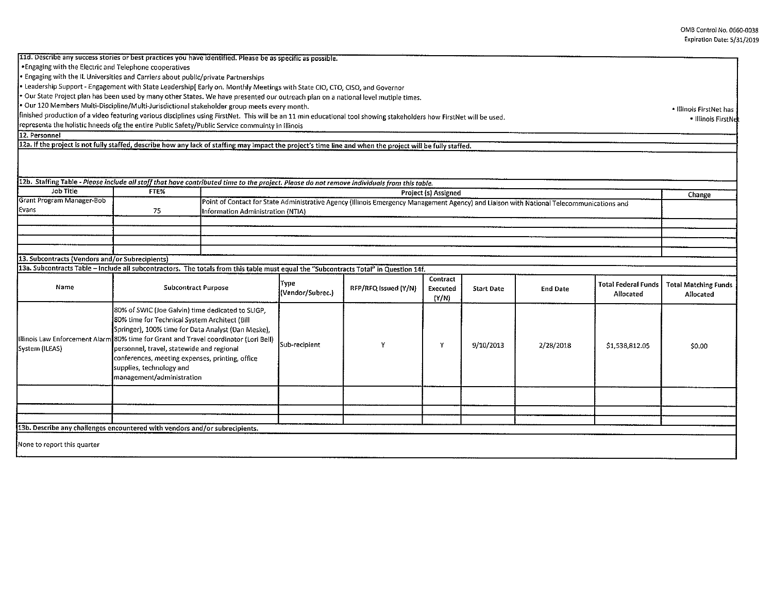| 11d. Describe any success stories or best practices you have identified. Please be as specific as possible.                                                          |                                                                                                                                                                                                                                                                                                                                                                                                           |                                                                                                                                                                  |                          |                      |                   |                   |                 |                                         |                                          |
|----------------------------------------------------------------------------------------------------------------------------------------------------------------------|-----------------------------------------------------------------------------------------------------------------------------------------------------------------------------------------------------------------------------------------------------------------------------------------------------------------------------------------------------------------------------------------------------------|------------------------------------------------------------------------------------------------------------------------------------------------------------------|--------------------------|----------------------|-------------------|-------------------|-----------------|-----------------------------------------|------------------------------------------|
| . Engaging with the Electric and Telephone cooperatives                                                                                                              |                                                                                                                                                                                                                                                                                                                                                                                                           |                                                                                                                                                                  |                          |                      |                   |                   |                 |                                         |                                          |
| . Engaging with the IL Universities and Carriers about public/private Partnerships                                                                                   |                                                                                                                                                                                                                                                                                                                                                                                                           |                                                                                                                                                                  |                          |                      |                   |                   |                 |                                         |                                          |
| . Leadership Support - Engagement with State Leadership [Early on. Monthly Meetings with State CIO, CTO, CISO, and Governor                                          |                                                                                                                                                                                                                                                                                                                                                                                                           |                                                                                                                                                                  |                          |                      |                   |                   |                 |                                         |                                          |
| . Our State Project plan has been used by many other States. We have presented our outreach plan on a national level mutiple times.                                  |                                                                                                                                                                                                                                                                                                                                                                                                           |                                                                                                                                                                  |                          |                      |                   |                   |                 |                                         |                                          |
| Our 120 Members Multi-Discipline/Multi-Jurisdictional stakeholder group meets every month.                                                                           |                                                                                                                                                                                                                                                                                                                                                                                                           |                                                                                                                                                                  |                          |                      |                   |                   |                 |                                         | • Illinois FirstNet has                  |
| finished production of a video featuring various disciplines using FirstNet. This will be an 11 min educational tool showing stakeholders how FirstNet will be used. |                                                                                                                                                                                                                                                                                                                                                                                                           |                                                                                                                                                                  |                          |                      |                   |                   |                 |                                         | · Illinois FirstNe                       |
| representa the holistic hneeds ofg the entire Public Safety/Public Service commuinty in Illinois                                                                     |                                                                                                                                                                                                                                                                                                                                                                                                           |                                                                                                                                                                  |                          |                      |                   |                   |                 |                                         |                                          |
| 12. Personnel                                                                                                                                                        |                                                                                                                                                                                                                                                                                                                                                                                                           |                                                                                                                                                                  |                          |                      |                   |                   |                 |                                         |                                          |
| 12a. If the project is not fully staffed, describe how any lack of staffing may impact the project's time line and when the project will be fully staffed.           |                                                                                                                                                                                                                                                                                                                                                                                                           |                                                                                                                                                                  |                          |                      |                   |                   |                 |                                         |                                          |
|                                                                                                                                                                      |                                                                                                                                                                                                                                                                                                                                                                                                           |                                                                                                                                                                  |                          |                      |                   |                   |                 |                                         |                                          |
| 12b. Staffing Table - Please include all staff that have contributed time to the project. Please do not remove individuals from this table.<br>Job Title             |                                                                                                                                                                                                                                                                                                                                                                                                           |                                                                                                                                                                  |                          |                      |                   |                   |                 |                                         |                                          |
| Grant Program Manager-Bob                                                                                                                                            | FTE%                                                                                                                                                                                                                                                                                                                                                                                                      | Project (s) Assigned<br>Point of Contact for State Administrative Agency (Illinois Emergency Management Agency) and Liaison with National Telecommunications and |                          |                      |                   |                   |                 |                                         | Change                                   |
| Evans                                                                                                                                                                | 75                                                                                                                                                                                                                                                                                                                                                                                                        |                                                                                                                                                                  |                          |                      |                   |                   |                 |                                         |                                          |
|                                                                                                                                                                      |                                                                                                                                                                                                                                                                                                                                                                                                           | Information Administration (NTIA)                                                                                                                                |                          |                      |                   |                   |                 |                                         |                                          |
|                                                                                                                                                                      |                                                                                                                                                                                                                                                                                                                                                                                                           |                                                                                                                                                                  |                          |                      |                   |                   |                 |                                         |                                          |
|                                                                                                                                                                      |                                                                                                                                                                                                                                                                                                                                                                                                           |                                                                                                                                                                  |                          |                      |                   |                   |                 |                                         |                                          |
|                                                                                                                                                                      |                                                                                                                                                                                                                                                                                                                                                                                                           |                                                                                                                                                                  |                          |                      |                   |                   |                 |                                         |                                          |
| 13. Subcontracts (Vendors and/or Subrecipients)                                                                                                                      |                                                                                                                                                                                                                                                                                                                                                                                                           |                                                                                                                                                                  |                          |                      |                   |                   |                 |                                         |                                          |
| 13a. Subcontracts Table - Include all subcontractors. The totals from this table must equal the "Subcontracts Total" in Question 14f.                                |                                                                                                                                                                                                                                                                                                                                                                                                           |                                                                                                                                                                  |                          |                      |                   |                   |                 |                                         |                                          |
|                                                                                                                                                                      | <b>Subcontract Purpose</b>                                                                                                                                                                                                                                                                                                                                                                                |                                                                                                                                                                  |                          |                      | Contract          |                   |                 |                                         |                                          |
| Name                                                                                                                                                                 |                                                                                                                                                                                                                                                                                                                                                                                                           |                                                                                                                                                                  | Type<br>(Vendor/Subrec.) | RFP/RFQ Issued (Y/N) | Executed<br>(Y/N) | <b>Start Date</b> | <b>End Date</b> | <b>Total Federal Funds</b><br>Allocated | <b>Total Matching Funds</b><br>Allocated |
| System (ILEAS)                                                                                                                                                       | 80% of SWIC (Joe Galvin) time dedicated to SLIGP,<br>80% time for Technical System Architect (Bill<br>Springer), 100% time for Data Analyst (Dan Meske),<br>Illinois Law Enforcement Alarm 80% time for Grant and Travel coordinator (Lori Bell)<br>personnel, travel, statewide and regional<br>conferences, meeting expenses, printing, office<br>supplies, technology and<br>management/administration |                                                                                                                                                                  | Sub-recipient            |                      | Υ                 | 9/10/2013         | 2/28/2018       | \$1,538,812.05                          | \$0.00                                   |
|                                                                                                                                                                      |                                                                                                                                                                                                                                                                                                                                                                                                           |                                                                                                                                                                  |                          |                      |                   |                   |                 |                                         |                                          |
|                                                                                                                                                                      |                                                                                                                                                                                                                                                                                                                                                                                                           |                                                                                                                                                                  |                          |                      |                   |                   |                 |                                         |                                          |
| 13b. Describe any challenges encountered with vendors and/or subrecipients.                                                                                          |                                                                                                                                                                                                                                                                                                                                                                                                           |                                                                                                                                                                  |                          |                      |                   |                   |                 |                                         |                                          |
|                                                                                                                                                                      |                                                                                                                                                                                                                                                                                                                                                                                                           |                                                                                                                                                                  |                          |                      |                   |                   |                 |                                         |                                          |
| None to report this quarter                                                                                                                                          |                                                                                                                                                                                                                                                                                                                                                                                                           |                                                                                                                                                                  |                          |                      |                   |                   |                 |                                         |                                          |